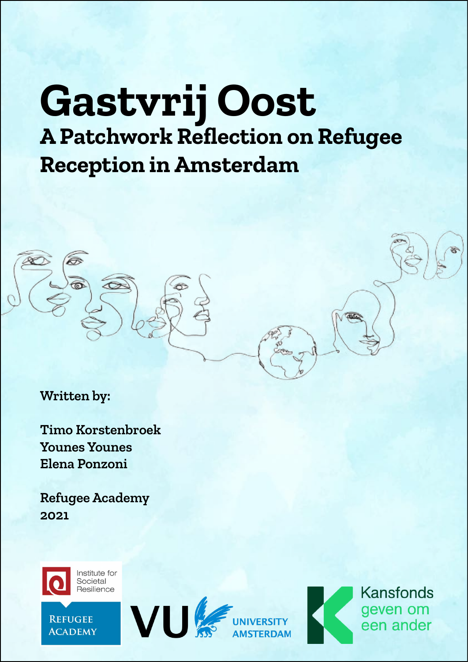# **Gastvrij Oost A Patchwork Reflection on Refugee Reception in Amsterdam**



**Written by:**

**Timo Korstenbroek Younes Younes Elena Ponzoni**

**Refugee Academy 2021**



**REFUGEE ACADEMY** 





**Kansfonds** geven om een ander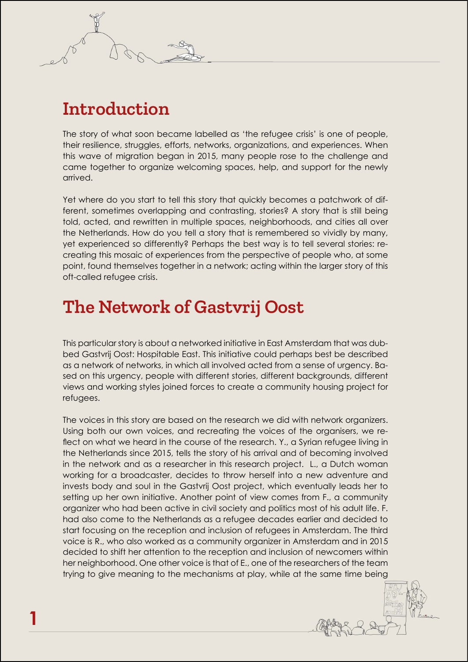# **Introduction**

The story of what soon became labelled as 'the refugee crisis' is one of people, their resilience, struggles, efforts, networks, organizations, and experiences. When this wave of migration began in 2015, many people rose to the challenge and came together to organize welcoming spaces, help, and support for the newly arrived.

Yet where do you start to tell this story that quickly becomes a patchwork of different, sometimes overlapping and contrasting, stories? A story that is still being told, acted, and rewritten in multiple spaces, neighborhoods, and cities all over the Netherlands. How do you tell a story that is remembered so vividly by many, yet experienced so differently? Perhaps the best way is to tell several stories: recreating this mosaic of experiences from the perspective of people who, at some point, found themselves together in a network; acting within the larger story of this oft-called refugee crisis.

### **The Network of Gastvrij Oost**

This particular story is about a networked initiative in East Amsterdam that was dubbed Gastvrij Oost: Hospitable East. This initiative could perhaps best be described as a network of networks, in which all involved acted from a sense of urgency. Based on this urgency, people with different stories, different backgrounds, different views and working styles joined forces to create a community housing project for refugees.

The voices in this story are based on the research we did with network organizers. Using both our own voices, and recreating the voices of the organisers, we reflect on what we heard in the course of the research. Y., a Syrian refugee living in the Netherlands since 2015, tells the story of his arrival and of becoming involved in the network and as a researcher in this research project. L., a Dutch woman working for a broadcaster, decides to throw herself into a new adventure and invests body and soul in the Gastvrij Oost project, which eventually leads her to setting up her own initiative. Another point of view comes from F., a community organizer who had been active in civil society and politics most of his adult life. F. had also come to the Netherlands as a refugee decades earlier and decided to start focusing on the reception and inclusion of refugees in Amsterdam. The third voice is R., who also worked as a community organizer in Amsterdam and in 2015 decided to shift her attention to the reception and inclusion of newcomers within her neighborhood. One other voice is that of E., one of the researchers of the team trying to give meaning to the mechanisms at play, while at the same time being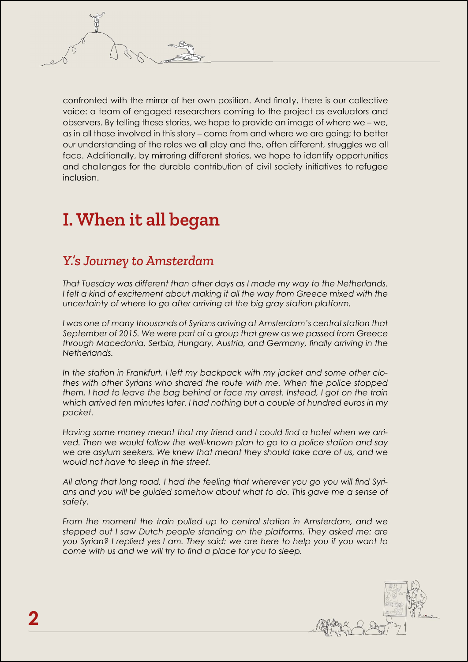confronted with the mirror of her own position. And finally, there is our collective voice: a team of engaged researchers coming to the project as evaluators and observers. By telling these stories, we hope to provide an image of where we – we, as in all those involved in this story – come from and where we are going; to better our understanding of the roles we all play and the, often different, struggles we all face. Additionally, by mirroring different stories, we hope to identify opportunities and challenges for the durable contribution of civil society initiatives to refugee inclusion.

# **I. When it all began**

### *Y.'s Journey to Amsterdam*

*That Tuesday was different than other days as I made my way to the Netherlands.*  I felt a kind of excitement about making it all the way from Greece mixed with the *uncertainty of where to go after arriving at the big gray station platform.*

*I* was one of many thousands of Syrians arriving at Amsterdam's central station that *September of 2015. We were part of a group that grew as we passed from Greece through Macedonia, Serbia, Hungary, Austria, and Germany, finally arriving in the Netherlands.*

*In the station in Frankfurt, I left my backpack with my jacket and some other clothes with other Syrians who shared the route with me. When the police stopped them, I had to leave the bag behind or face my arrest. Instead, I got on the train which arrived ten minutes later. I had nothing but a couple of hundred euros in my pocket.*

*Having some money meant that my friend and I could find a hotel when we arrived. Then we would follow the well-known plan to go to a police station and say we are asylum seekers. We knew that meant they should take care of us, and we would not have to sleep in the street.*

*All along that long road, I had the feeling that wherever you go you will find Syrians and you will be guided somehow about what to do. This gave me a sense of safety.*

*From the moment the train pulled up to central station in Amsterdam, and we stepped out I saw Dutch people standing on the platforms. They asked me: are you Syrian? I replied yes I am. They said: we are here to help you if you want to come with us and we will try to find a place for you to sleep.*

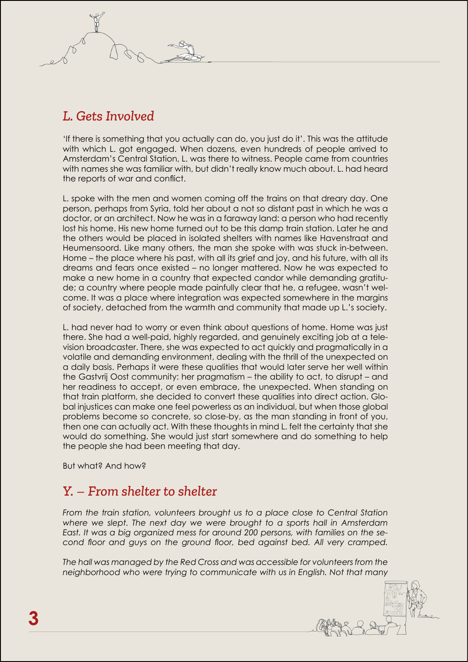### *L. Gets Involved*

'If there is something that you actually can do, you just do it'. This was the attitude with which L. got engaged. When dozens, even hundreds of people arrived to Amsterdam's Central Station, L. was there to witness. People came from countries with names she was familiar with, but didn't really know much about. L. had heard the reports of war and conflict.

L. spoke with the men and women coming off the trains on that dreary day. One person, perhaps from Syria, told her about a not so distant past in which he was a doctor, or an architect. Now he was in a faraway land: a person who had recently lost his home. His new home turned out to be this damp train station. Later he and the others would be placed in isolated shelters with names like Havenstraat and Heumensoord. Like many others, the man she spoke with was stuck in-between. Home – the place where his past, with all its grief and joy, and his future, with all its dreams and fears once existed – no longer mattered. Now he was expected to make a new home in a country that expected candor while demanding gratitude; a country where people made painfully clear that he, a refugee, wasn't welcome. It was a place where integration was expected somewhere in the margins of society, detached from the warmth and community that made up L.'s society.

L. had never had to worry or even think about questions of home. Home was just there. She had a well-paid, highly regarded, and genuinely exciting job at a television broadcaster. There, she was expected to act quickly and pragmatically in a volatile and demanding environment, dealing with the thrill of the unexpected on a daily basis. Perhaps it were these qualities that would later serve her well within the Gastvrij Oost community: her pragmatism – the ability to act, to disrupt – and her readiness to accept, or even embrace, the unexpected. When standing on that train platform, she decided to convert these qualities into direct action. Global injustices can make one feel powerless as an individual, but when those global problems become so concrete, so close-by, as the man standing in front of you, then one can actually act. With these thoughts in mind L. felt the certainty that she would do something. She would just start somewhere and do something to help the people she had been meeting that day.

But what? And how?

### *Y. – From shelter to shelter*

From the train station, volunteers brought us to a place close to Central Station *where we slept. The next day we were brought to a sports hall in Amsterdam East. It was a big organized mess for around 200 persons, with families on the second floor and guys on the ground floor, bed against bed. All very cramped.*

*The hall was managed by the Red Cross and was accessible for volunteers from the neighborhood who were trying to communicate with us in English. Not that many*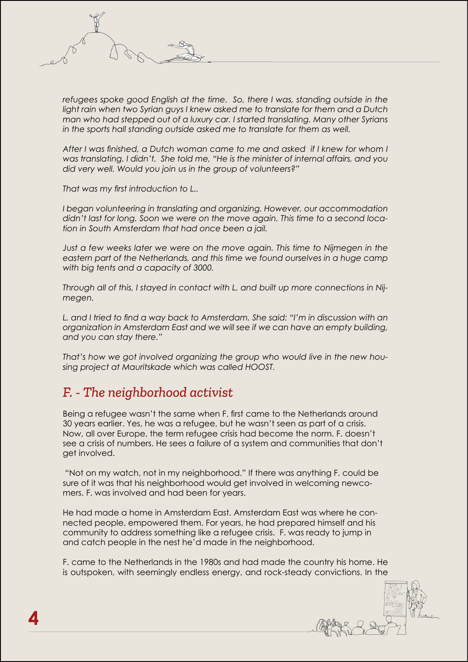refugees spoke good English at the time. So, there I was, standing outside in the light rain when two Syrian guys I knew asked me to translate for them and a Dutch *man who had stepped out of a luxury car. I started translating. Many other Syrians in the sports hall standing outside asked me to translate for them as well.*

*After I was finished, a Dutch woman came to me and asked if I knew for whom I was translating. I didn't. She told me, "He is the minister of internal affairs, and you did very well. Would you join us in the group of volunteers?"*

*That was my first introduction to L..*

*I began volunteering in translating and organizing. However, our accommodation didn't last for long. Soon we were on the move again. This time to a second location in South Amsterdam that had once been a jail.*

*Just a few weeks later we were on the move again. This time to Nijmegen in the eastern part of the Netherlands, and this time we found ourselves in a huge camp with big tents and a capacity of 3000.*

*Through all of this, I stayed in contact with L. and built up more connections in Nijmegen.* 

*L. and I tried to find a way back to Amsterdam. She said: "I'm in discussion with an organization in Amsterdam East and we will see if we can have an empty building, and you can stay there."* 

*That's how we got involved organizing the group who would live in the new housing project at Mauritskade which was called HOOST.*

#### *F. - The neighborhood activist*

Being a refugee wasn't the same when F. first came to the Netherlands around 30 years earlier. Yes, he was a refugee, but he wasn't seen as part of a crisis. Now, all over Europe, the term refugee crisis had become the norm. F. doesn't see a crisis of numbers. He sees a failure of a system and communities that don't get involved.

 "Not on my watch, not in my neighborhood." If there was anything F. could be sure of it was that his neighborhood would get involved in welcoming newcomers. F. was involved and had been for years.

He had made a home in Amsterdam East. Amsterdam East was where he connected people, empowered them. For years, he had prepared himself and his community to address something like a refugee crisis. F. was ready to jump in and catch people in the nest he'd made in the neighborhood.

F. came to the Netherlands in the 1980s and had made the country his home. He is outspoken, with seemingly endless energy, and rock-steady convictions. In the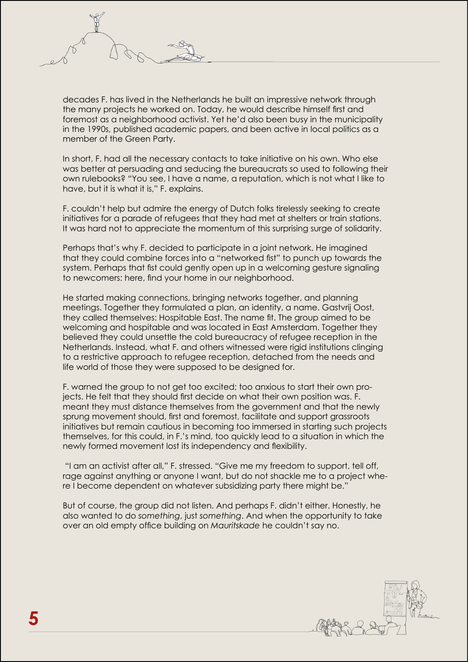

decades F. has lived in the Netherlands he built an impressive network through the many projects he worked on. Today, he would describe himself first and foremost as a neighborhood activist. Yet he'd also been busy in the municipality in the 1990s, published academic papers, and been active in local politics as a member of the Green Party.

In short, F. had all the necessary contacts to take initiative on his own. Who else was better at persuading and seducing the bureaucrats so used to following their own rulebooks? "You see, I have a name, a reputation, which is not what I like to have, but it is what it is," F. explains.

F. couldn't help but admire the energy of Dutch folks tirelessly seeking to create initiatives for a parade of refugees that they had met at shelters or train stations. It was hard not to appreciate the momentum of this surprising surge of solidarity.

Perhaps that's why F. decided to participate in a joint network. He imagined that they could combine forces into a "networked fist" to punch up towards the system. Perhaps that fist could gently open up in a welcoming gesture signaling to newcomers: here, find your home in our neighborhood.

He started making connections, bringing networks together, and planning meetings. Together they formulated a plan, an identity, a name. Gastvrij Oost, they called themselves: Hospitable East. The name fit. The group aimed to be welcoming and hospitable and was located in East Amsterdam. Together they believed they could unsettle the cold bureaucracy of refugee reception in the Netherlands. Instead, what F. and others witnessed were rigid institutions clinging to a restrictive approach to refugee reception, detached from the needs and life world of those they were supposed to be designed for.

F. warned the group to not get too excited; too anxious to start their own projects. He felt that they should first decide on what their own position was. F. meant they must distance themselves from the government and that the newly sprung movement should, first and foremost, facilitate and support grassroots initiatives but remain cautious in becoming too immersed in starting such projects themselves, for this could, in F.'s mind, too quickly lead to a situation in which the newly formed movement lost its independency and flexibility.

 "I am an activist after all," F. stressed. "Give me my freedom to support, tell off, rage against anything or anyone I want, but do not shackle me to a project where I become dependent on whatever subsidizing party there might be."

But of course, the group did not listen. And perhaps F. didn't either. Honestly, he also wanted to do *something*, just *something*. And when the opportunity to take over an old empty office building on *Mauritskade* he couldn't say no.

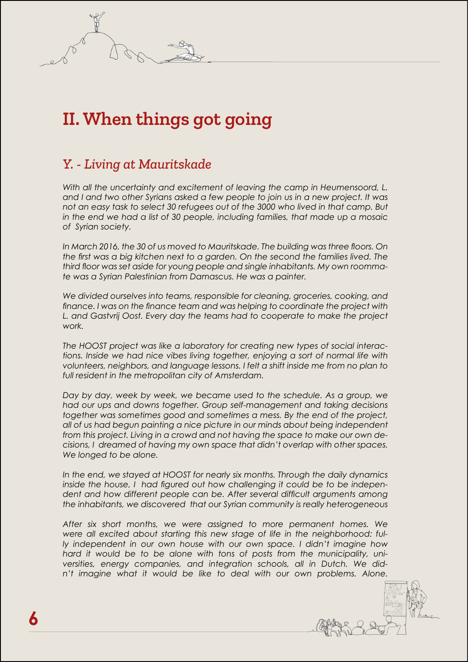# **II. When things got going**

### *Y. - Living at Mauritskade*

*With all the uncertainty and excitement of leaving the camp in Heumensoord, L. and I and two other Syrians asked a few people to join us in a new project. It was not an easy task to select 30 refugees out of the 3000 who lived in that camp. But in the end we had a list of 30 people, including families, that made up a mosaic of Syrian society.*

*In March 2016, the 30 of us moved to Mauritskade. The building was three floors. On the first was a big kitchen next to a garden. On the second the families lived. The third floor was set aside for young people and single inhabitants. My own roommate was a Syrian Palestinian from Damascus. He was a painter.*

*We divided ourselves into teams, responsible for cleaning, groceries, cooking, and finance. I was on the finance team and was helping to coordinate the project with L. and Gastvrij Oost. Every day the teams had to cooperate to make the project work.*

*The HOOST project was like a laboratory for creating new types of social interactions. Inside we had nice vibes living together, enjoying a sort of normal life with volunteers, neighbors, and language lessons. I felt a shift inside me from no plan to full resident in the metropolitan city of Amsterdam.*

*Day by day, week by week, we became used to the schedule. As a group, we had our ups and downs together. Group self-management and taking decisions together was sometimes good and sometimes a mess. By the end of the project, all of us had begun painting a nice picture in our minds about being independent from this project. Living in a crowd and not having the space to make our own decisions, I dreamed of having my own space that didn't overlap with other spaces. We longed to be alone.*

*In the end, we stayed at HOOST for nearly six months. Through the daily dynamics inside the house, I had figured out how challenging it could be to be indepen*dent and how different people can be. After several difficult arguments among *the inhabitants, we discovered that our Syrian community is really heterogeneous*

*After six short months, we were assigned to more permanent homes. We were all excited about starting this new stage of life in the neighborhood: fully independent in our own house with our own space. I didn't imagine how hard it would be to be alone with tons of posts from the municipality, universities, energy companies, and integration schools, all in Dutch. We didn't imagine what it would be like to deal with our own problems. Alone.*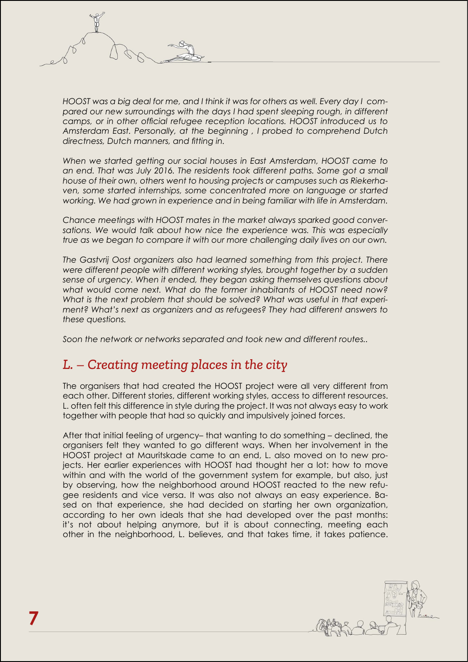*HOOST was a big deal for me, and I think it was for others as well. Every day I compared our new surroundings with the days I had spent sleeping rough, in different camps, or in other official refugee reception locations. HOOST introduced us to Amsterdam East. Personally, at the beginning , I probed to comprehend Dutch directness, Dutch manners, and fitting in.*

*When we started getting our social houses in East Amsterdam, HOOST came to*  an end. That was July 2016. The residents took different paths. Some got a small *house of their own, others went to housing projects or campuses such as Riekerha*ven, some started internships, some concentrated more on language or started *working. We had grown in experience and in being familiar with life in Amsterdam.*

*Chance meetings with HOOST mates in the market always sparked good conver*sations. We would talk about how nice the experience was. This was especially *true as we began to compare it with our more challenging daily lives on our own.*

*The Gastvrij Oost organizers also had learned something from this project. There were different people with different working styles, brought together by a sudden sense of urgency. When it ended, they began asking themselves questions about what would come next. What do the former inhabitants of HOOST need now? What is the next problem that should be solved? What was useful in that experiment? What's next as organizers and as refugees? They had different answers to these questions.*

*Soon the network or networks separated and took new and different routes..*

#### *L. – Creating meeting places in the city*

The organisers that had created the HOOST project were all very different from each other. Different stories, different working styles, access to different resources. L. often felt this difference in style during the project. It was not always easy to work together with people that had so quickly and impulsively joined forces.

After that initial feeling of urgency– that wanting to do something – declined, the organisers felt they wanted to go different ways. When her involvement in the HOOST project at Mauritskade came to an end, L. also moved on to new projects. Her earlier experiences with HOOST had thought her a lot: how to move within and with the world of the government system for example, but also, just by observing, how the neighborhood around HOOST reacted to the new refugee residents and vice versa. It was also not always an easy experience. Based on that experience, she had decided on starting her own organization, according to her own ideals that she had developed over the past months: it's not about helping anymore, but it is about connecting, meeting each other in the neighborhood, L. believes, and that takes time, it takes patience.

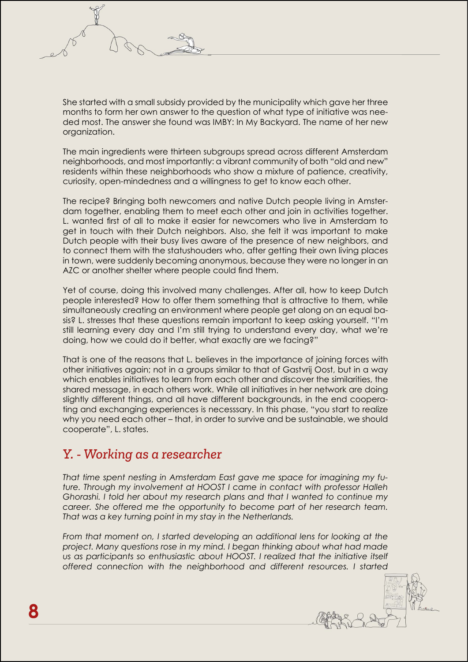She started with a small subsidy provided by the municipality which gave her three months to form her own answer to the question of what type of initiative was needed most. The answer she found was IMBY: In My Backyard. The name of her new organization.

The main ingredients were thirteen subgroups spread across different Amsterdam neighborhoods, and most importantly: a vibrant community of both "old and new" residents within these neighborhoods who show a mixture of patience, creativity, curiosity, open-mindedness and a willingness to get to know each other.

The recipe? Bringing both newcomers and native Dutch people living in Amsterdam together, enabling them to meet each other and join in activities together. L. wanted first of all to make it easier for newcomers who live in Amsterdam to get in touch with their Dutch neighbors. Also, she felt it was important to make Dutch people with their busy lives aware of the presence of new neighbors, and to connect them with the statushouders who, after getting their own living places in town, were suddenly becoming anonymous, because they were no longer in an AZC or another shelter where people could find them.

Yet of course, doing this involved many challenges. After all, how to keep Dutch people interested? How to offer them something that is attractive to them, while simultaneously creating an environment where people get along on an equal basis? L. stresses that these questions remain important to keep asking yourself. "I'm still learning every day and I'm still trying to understand every day, what we're doing, how we could do it better, what exactly are we facing?"

That is one of the reasons that L. believes in the importance of joining forces with other initiatives again; not in a groups similar to that of Gastvrij Oost, but in a way which enables initiatives to learn from each other and discover the similarities, the shared message, in each others work. While all initiatives in her network are doing slightly different things, and all have different backgrounds, in the end cooperating and exchanging experiences is necesssary. In this phase, "you start to realize why you need each other – that, in order to survive and be sustainable, we should cooperate", L. states.

#### *Y. - Working as a researcher*

*That time spent nesting in Amsterdam East gave me space for imagining my future. Through my involvement at HOOST I came in contact with professor Halleh Ghorashi. I told her about my research plans and that I wanted to continue my career. She offered me the opportunity to become part of her research team. That was a key turning point in my stay in the Netherlands.*

From that moment on, I started developing an additional lens for looking at the *project. Many questions rose in my mind. I began thinking about what had made us as participants so enthusiastic about HOOST. I realized that the initiative itself offered connection with the neighborhood and different resources. I started*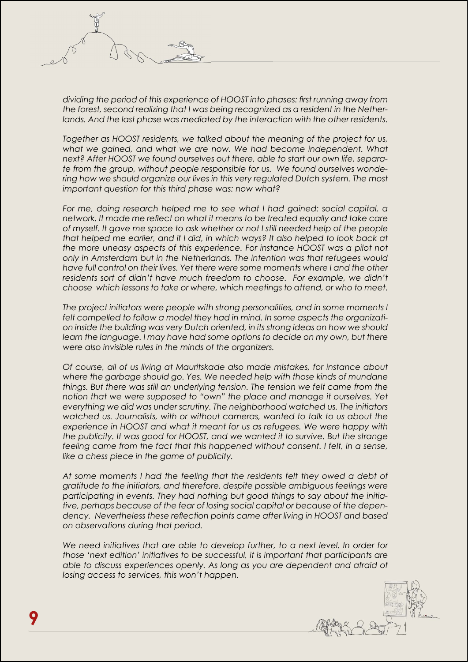*dividing the period of this experience of HOOST into phases: first running away from the forest, second realizing that I was being recognized as a resident in the Netherlands. And the last phase was mediated by the interaction with the other residents.*

*Together as HOOST residents, we talked about the meaning of the project for us, what we gained, and what we are now. We had become independent. What next? After HOOST we found ourselves out there, able to start our own life, separate from the group, without people responsible for us. We found ourselves wondering how we should organize our lives in this very regulated Dutch system. The most important question for this third phase was: now what?*

*For me, doing research helped me to see what I had gained: social capital, a network. It made me reflect on what it means to be treated equally and take care of myself. It gave me space to ask whether or not I still needed help of the people that helped me earlier, and if I did, in which ways? It also helped to look back at the more uneasy aspects of this experience. For instance HOOST was a pilot not only in Amsterdam but in the Netherlands. The intention was that refugees would have full control on their lives. Yet there were some moments where I and the other*  residents sort of didn't have much freedom to choose. For example, we didn't *choose which lessons to take or where, which meetings to attend, or who to meet.*

*The project initiators were people with strong personalities, and in some moments I felt compelled to follow a model they had in mind. In some aspects the organization inside the building was very Dutch oriented, in its strong ideas on how we should learn the language. I may have had some options to decide on my own, but there were also invisible rules in the minds of the organizers.*

*Of course, all of us living at Mauritskade also made mistakes, for instance about where the garbage should go. Yes. We needed help with those kinds of mundane things. But there was still an underlying tension. The tension we felt came from the notion that we were supposed to "own" the place and manage it ourselves. Yet everything we did was under scrutiny. The neighborhood watched us. The initiators watched us. Journalists, with or without cameras, wanted to talk to us about the experience in HOOST and what it meant for us as refugees. We were happy with the publicity. It was good for HOOST, and we wanted it to survive. But the strange feeling came from the fact that this happened without consent. I felt, in a sense, like a chess piece in the game of publicity.* 

At some moments I had the feeling that the residents felt they owed a debt of *gratitude to the initiators, and therefore, despite possible ambiguous feelings were participating in events. They had nothing but good things to say about the initiative, perhaps because of the fear of losing social capital or because of the dependency. Nevertheless these reflection points came after living in HOOST and based on observations during that period.*

*We need initiatives that are able to develop further, to a next level. In order for those 'next edition' initiatives to be successful, it is important that participants are able to discuss experiences openly. As long as you are dependent and afraid of losing access to services, this won't happen.*

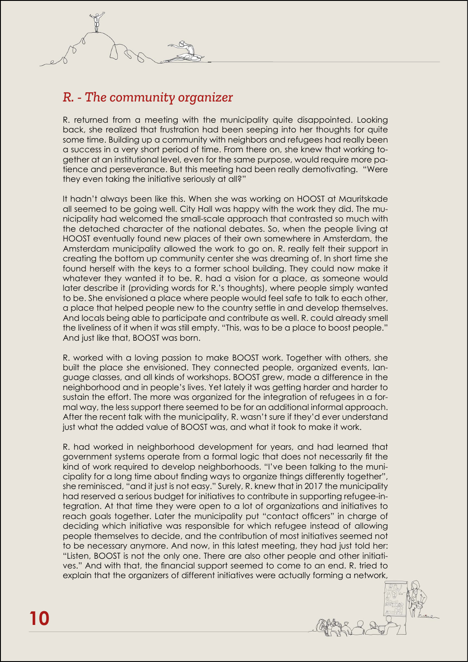### *R. - The community organizer*

R. returned from a meeting with the municipality quite disappointed. Looking back, she realized that frustration had been seeping into her thoughts for quite some time. Building up a community with neighbors and refugees had really been a success in a very short period of time. From there on, she knew that working together at an institutional level, even for the same purpose, would require more patience and perseverance. But this meeting had been really demotivating. "Were they even taking the initiative seriously at all?"

It hadn't always been like this. When she was working on HOOST at Mauritskade all seemed to be going well. City Hall was happy with the work they did. The municipality had welcomed the small-scale approach that contrasted so much with the detached character of the national debates. So, when the people living at HOOST eventually found new places of their own somewhere in Amsterdam, the Amsterdam municipality allowed the work to go on. R. really felt their support in creating the bottom up community center she was dreaming of. In short time she found herself with the keys to a former school building. They could now make it whatever they wanted it to be. R. had a vision for a place, as someone would later describe it (providing words for R.'s thoughts), where people simply wanted to be. She envisioned a place where people would feel safe to talk to each other, a place that helped people new to the country settle in and develop themselves. And locals being able to participate and contribute as well. R. could already smell the liveliness of it when it was still empty. "This, was to be a place to boost people." And just like that, BOOST was born.

R. worked with a loving passion to make BOOST work. Together with others, she built the place she envisioned. They connected people, organized events, language classes, and all kinds of workshops. BOOST grew, made a difference in the neighborhood and in people's lives. Yet lately it was getting harder and harder to sustain the effort. The more was organized for the integration of refugees in a formal way, the less support there seemed to be for an additional informal approach. After the recent talk with the municipality, R. wasn't sure if they'd ever understand just what the added value of BOOST was, and what it took to make it work.

R. had worked in neighborhood development for years, and had learned that government systems operate from a formal logic that does not necessarily fit the kind of work required to develop neighborhoods. "I've been talking to the municipality for a long time about finding ways to organize things differently together", she reminisced, "and it just is not easy." Surely, R. knew that in 2017 the municipality had reserved a serious budget for initiatives to contribute in supporting refugee-integration. At that time they were open to a lot of organizations and initiatives to reach goals together. Later the municipality put "contact officers" in charge of deciding which initiative was responsible for which refugee instead of allowing people themselves to decide, and the contribution of most initiatives seemed not to be necessary anymore. And now, in this latest meeting, they had just told her: "Listen, BOOST is not the only one. There are also other people and other initiatives." And with that, the financial support seemed to come to an end. R. tried to explain that the organizers of different initiatives were actually forming a network,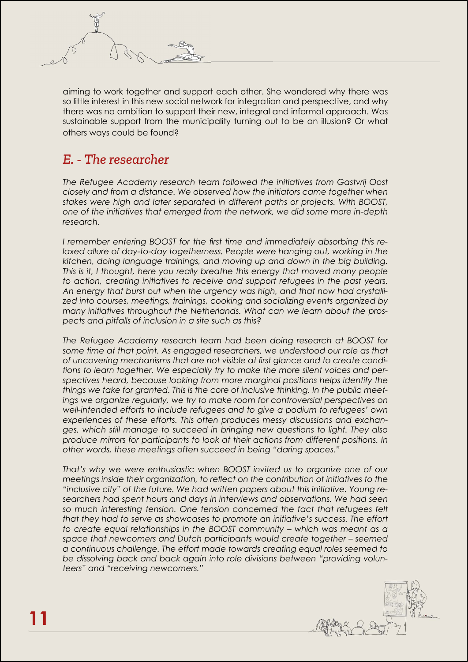

aiming to work together and support each other. She wondered why there was so little interest in this new social network for integration and perspective, and why there was no ambition to support their new, integral and informal approach. Was sustainable support from the municipality turning out to be an illusion? Or what others ways could be found?

### *E. - The researcher*

*The Refugee Academy research team followed the initiatives from Gastvrij Oost closely and from a distance. We observed how the initiators came together when stakes were high and later separated in different paths or projects. With BOOST, one of the initiatives that emerged from the network, we did some more in-depth research.*

*I remember entering BOOST for the first time and immediately absorbing this relaxed allure of day-to-day togetherness. People were hanging out, working in the kitchen, doing language trainings, and moving up and down in the big building. This is it, I thought, here you really breathe this energy that moved many people to action, creating initiatives to receive and support refugees in the past years. An energy that burst out when the urgency was high, and that now had crystallized into courses, meetings, trainings, cooking and socializing events organized by many initiatives throughout the Netherlands. What can we learn about the prospects and pitfalls of inclusion in a site such as this?* 

*The Refugee Academy research team had been doing research at BOOST for some time at that point. As engaged researchers, we understood our role as that of uncovering mechanisms that are not visible at first glance and to create conditions to learn together. We especially try to make the more silent voices and perspectives heard, because looking from more marginal positions helps identify the things we take for granted. This is the core of inclusive thinking. In the public meetings we organize regularly, we try to make room for controversial perspectives on well-intended efforts to include refugees and to give a podium to refugees' own experiences of these efforts. This often produces messy discussions and exchanges, which still manage to succeed in bringing new questions to light. They also produce mirrors for participants to look at their actions from different positions. In other words, these meetings often succeed in being "daring spaces."*

*That's why we were enthusiastic when BOOST invited us to organize one of our meetings inside their organization, to reflect on the contribution of initiatives to the "inclusive city" of the future. We had written papers about this initiative. Young researchers had spent hours and days in interviews and observations. We had seen so much interesting tension. One tension concerned the fact that refugees felt that they had to serve as showcases to promote an initiative's success. The effort to create equal relationships in the BOOST community – which was meant as a space that newcomers and Dutch participants would create together – seemed a continuous challenge. The effort made towards creating equal roles seemed to be dissolving back and back again into role divisions between "providing volunteers" and "receiving newcomers."*

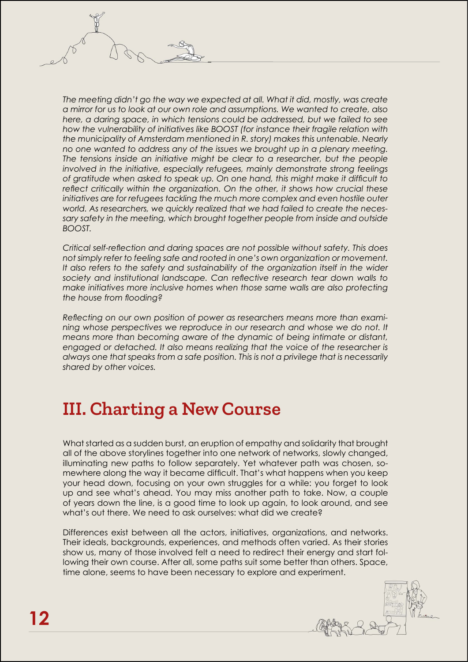*The meeting didn't go the way we expected at all. What it did, mostly, was create a mirror for us to look at our own role and assumptions. We wanted to create, also here, a daring space, in which tensions could be addressed, but we failed to see how the vulnerability of initiatives like BOOST (for instance their fragile relation with the municipality of Amsterdam mentioned in R. story) makes this untenable. Nearly no one wanted to address any of the issues we brought up in a plenary meeting. The tensions inside an initiative might be clear to a researcher, but the people involved in the initiative, especially refugees, mainly demonstrate strong feelings of gratitude when asked to speak up. On one hand, this might make it difficult to reflect critically within the organization. On the other, it shows how crucial these initiatives are for refugees tackling the much more complex and even hostile outer world. As researchers, we quickly realized that we had failed to create the necessary safety in the meeting, which brought together people from inside and outside BOOST.* 

*Critical self-reflection and daring spaces are not possible without safety. This does not simply refer to feeling safe and rooted in one's own organization or movement. It also refers to the safety and sustainability of the organization itself in the wider society and institutional landscape. Can reflective research tear down walls to make initiatives more inclusive homes when those same walls are also protecting the house from flooding?* 

*Reflecting on our own position of power as researchers means more than examining whose perspectives we reproduce in our research and whose we do not. It means more than becoming aware of the dynamic of being intimate or distant, engaged or detached. It also means realizing that the voice of the researcher is always one that speaks from a safe position. This is not a privilege that is necessarily shared by other voices.*

### **III. Charting a New Course**

What started as a sudden burst, an eruption of empathy and solidarity that brought all of the above storylines together into one network of networks, slowly changed, illuminating new paths to follow separately. Yet whatever path was chosen, somewhere along the way it became difficult. That's what happens when you keep your head down, focusing on your own struggles for a while: you forget to look up and see what's ahead. You may miss another path to take. Now, a couple of years down the line, is a good time to look up again, to look around, and see what's out there. We need to ask ourselves: what did we create?

Differences exist between all the actors, initiatives, organizations, and networks. Their ideals, backgrounds, experiences, and methods often varied. As their stories show us, many of those involved felt a need to redirect their energy and start following their own course. After all, some paths suit some better than others. Space, time alone, seems to have been necessary to explore and experiment.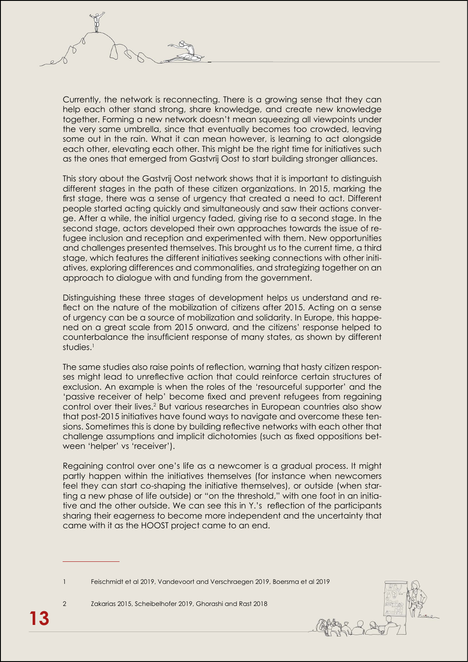Currently, the network is reconnecting. There is a growing sense that they can help each other stand strong, share knowledge, and create new knowledge together. Forming a new network doesn't mean squeezing all viewpoints under the very same umbrella, since that eventually becomes too crowded, leaving some out in the rain. What it can mean however, is learning to act alongside each other, elevating each other. This might be the right time for initiatives such as the ones that emerged from Gastvrij Oost to start building stronger alliances.

This story about the Gastvrij Oost network shows that it is important to distinguish different stages in the path of these citizen organizations. In 2015, marking the first stage, there was a sense of urgency that created a need to act. Different people started acting quickly and simultaneously and saw their actions converge. After a while, the initial urgency faded, giving rise to a second stage. In the second stage, actors developed their own approaches towards the issue of refugee inclusion and reception and experimented with them. New opportunities and challenges presented themselves. This brought us to the current time, a third stage, which features the different initiatives seeking connections with other initiatives, exploring differences and commonalities, and strategizing together on an approach to dialogue with and funding from the government.

Distinguishing these three stages of development helps us understand and reflect on the nature of the mobilization of citizens after 2015. Acting on a sense of urgency can be a source of mobilization and solidarity. In Europe, this happened on a great scale from 2015 onward, and the citizens' response helped to counterbalance the insufficient response of many states, as shown by different studies.<sup>1</sup>

The same studies also raise points of reflection, warning that hasty citizen responses might lead to unreflective action that could reinforce certain structures of exclusion. An example is when the roles of the 'resourceful supporter' and the 'passive receiver of help' become fixed and prevent refugees from regaining control over their lives.<sup>2</sup> But various researches in European countries also show that post-2015 initiatives have found ways to navigate and overcome these tensions. Sometimes this is done by building reflective networks with each other that challenge assumptions and implicit dichotomies (such as fixed oppositions between 'helper' vs 'receiver').

Regaining control over one's life as a newcomer is a gradual process. It might partly happen within the initiatives themselves (for instance when newcomers feel they can start co-shaping the initiative themselves), or outside (when starting a new phase of life outside) or "on the threshold," with one foot in an initiative and the other outside. We can see this in Y.'s reflection of the participants sharing their eagerness to become more independent and the uncertainty that came with it as the HOOST project came to an end.

1 Feischmidt et al 2019, Vandevoort and Verschraegen 2019, Boersma et al 2019

2 Zakarias 2015, Scheibelhofer 2019, Ghorashi and Rast 2018

**13**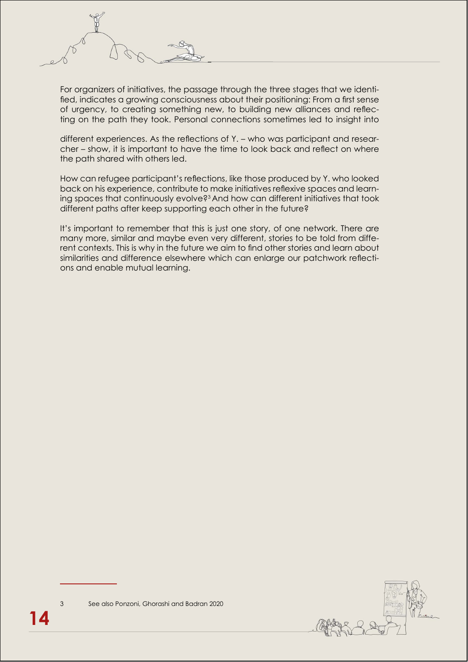

For organizers of initiatives, the passage through the three stages that we identified, indicates a growing consciousness about their positioning: From a first sense of urgency, to creating something new, to building new alliances and reflecting on the path they took. Personal connections sometimes led to insight into

different experiences. As the reflections of Y. – who was participant and researcher – show, it is important to have the time to look back and reflect on where the path shared with others led.

How can refugee participant's reflections, like those produced by Y. who looked back on his experience, contribute to make initiatives reflexive spaces and learning spaces that continuously evolve?3 And how can different initiatives that took different paths after keep supporting each other in the future?

It's important to remember that this is just one story, of one network. There are many more, similar and maybe even very different, stories to be told from different contexts. This is why in the future we aim to find other stories and learn about similarities and difference elsewhere which can enlarge our patchwork reflections and enable mutual learning.